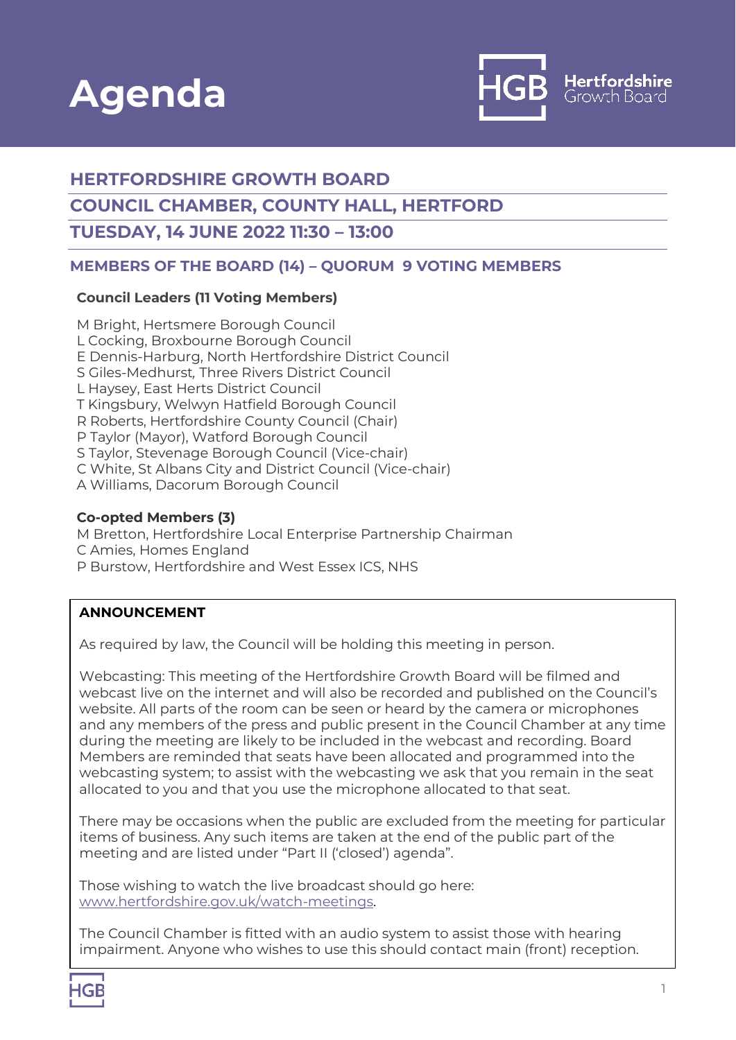



# **HERTFORDSHIRE GROWTH BOARD**

## **COUNCIL CHAMBER, COUNTY HALL, HERTFORD**

## **TUESDAY, 14 JUNE 2022 11:30 – 13:00**

## **MEMBERS OF THE BOARD (14) – QUORUM 9 VOTING MEMBERS**

#### **Council Leaders (11 Voting Members)**

M Bright, Hertsmere Borough Council L Cocking, Broxbourne Borough Council E Dennis-Harburg, North Hertfordshire District Council S Giles-Medhurst*,* Three Rivers District Council L Haysey, East Herts District Council T Kingsbury, Welwyn Hatfield Borough Council R Roberts, Hertfordshire County Council (Chair) P Taylor (Mayor), Watford Borough Council S Taylor, Stevenage Borough Council (Vice-chair) C White, St Albans City and District Council (Vice-chair) A Williams, Dacorum Borough Council

#### **Co-opted Members (3)**

M Bretton, Hertfordshire Local Enterprise Partnership Chairman C Amies, Homes England P Burstow, Hertfordshire and West Essex ICS, NHS

### **ANNOUNCEMENT**

As required by law, the Council will be holding this meeting in person.

Webcasting: This meeting of the Hertfordshire Growth Board will be filmed and webcast live on the internet and will also be recorded and published on the Council's website. All parts of the room can be seen or heard by the camera or microphones and any members of the press and public present in the Council Chamber at any time during the meeting are likely to be included in the webcast and recording. Board Members are reminded that seats have been allocated and programmed into the webcasting system; to assist with the webcasting we ask that you remain in the seat allocated to you and that you use the microphone allocated to that seat.

There may be occasions when the public are excluded from the meeting for particular items of business. Any such items are taken at the end of the public part of the meeting and are listed under "Part II ('closed') agenda".

Those wishing to watch the live broadcast should go here: [www.hertfordshire.gov.uk/watch-meetings.](http://www.hertfordshire.gov.uk/watch-meetings)

The Council Chamber is fitted with an audio system to assist those with hearing impairment. Anyone who wishes to use this should contact main (front) reception.

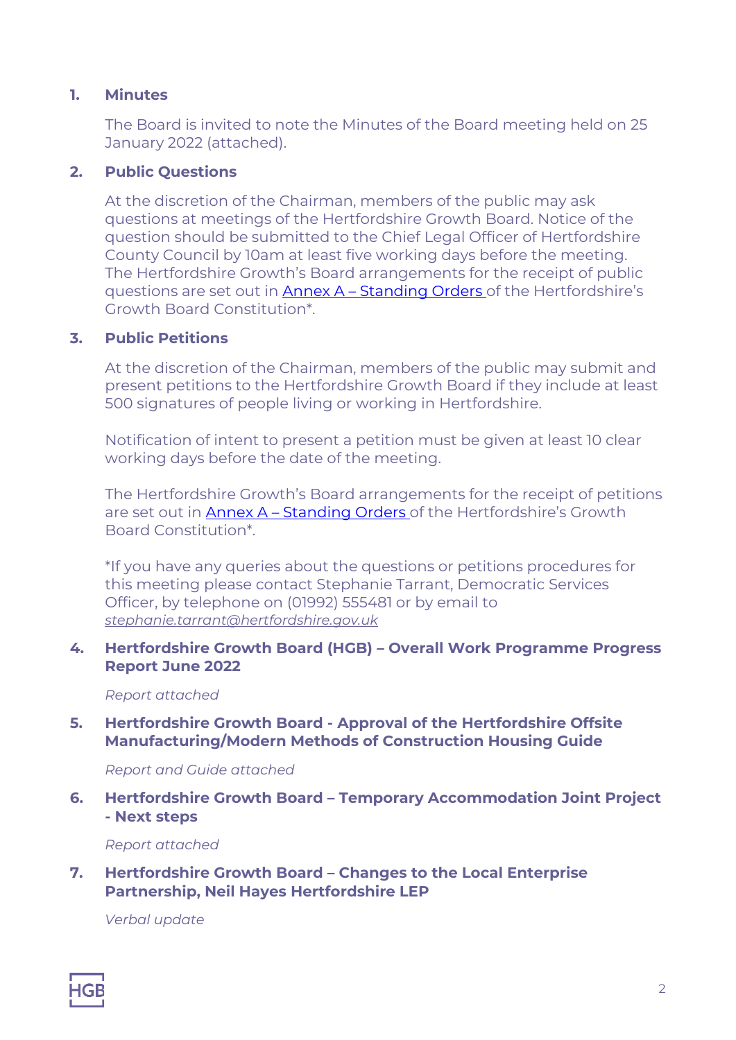## **1. Minutes**

The Board is invited to note the Minutes of the Board meeting held on 25 January 2022 (attached).

## **2. Public Questions**

At the discretion of the Chairman, members of the public may ask questions at meetings of the Hertfordshire Growth Board. Notice of the question should be submitted to the Chief Legal Officer of Hertfordshire County Council by 10am at least five working days before the meeting. The Hertfordshire Growth's Board arrangements for the receipt of public questions are set out in Annex A – Standing Orders of the Hertfordshire's Growth Board Constitution\*.

## **3. Public Petitions**

At the discretion of the Chairman, members of the public may submit and present petitions to the Hertfordshire Growth Board if they include at least 500 signatures of people living or working in Hertfordshire.

Notification of intent to present a petition must be given at least 10 clear working days before the date of the meeting.

The Hertfordshire Growth's Board arrangements for the receipt of petitions are set out in Annex A - Standing Orders of the Hertfordshire's Growth Board Constitution\*.

\*If you have any queries about the questions or petitions procedures for this meeting please contact Stephanie Tarrant, Democratic Services Officer, by telephone on (01992) 555481 or by email to *[stephanie.tarrant@hertfordshire.gov.uk](mailto:stephanie.tarrant@hertfordshire.gov.uk)*

**4. Hertfordshire Growth Board (HGB) – Overall Work Programme Progress Report June 2022**

*Report attached*

**5. Hertfordshire Growth Board - Approval of the Hertfordshire Offsite Manufacturing/Modern Methods of Construction Housing Guide**

*Report and Guide attached*

**6. Hertfordshire Growth Board – Temporary Accommodation Joint Project - Next steps**

*Report attached*

**7. Hertfordshire Growth Board – Changes to the Local Enterprise Partnership, Neil Hayes Hertfordshire LEP**

*Verbal update*